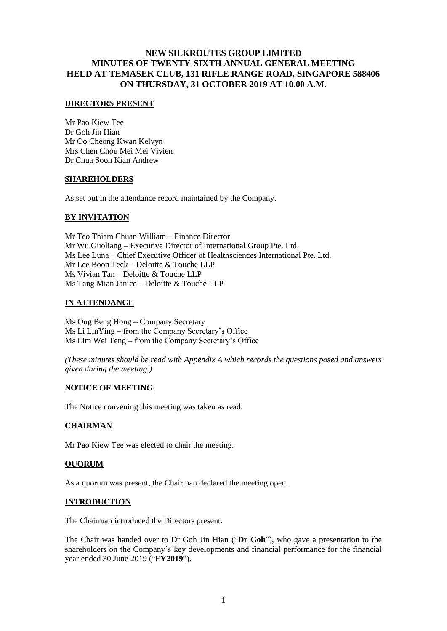### **DIRECTORS PRESENT**

Mr Pao Kiew Tee Dr Goh Jin Hian Mr Oo Cheong Kwan Kelvyn Mrs Chen Chou Mei Mei Vivien Dr Chua Soon Kian Andrew

### **SHAREHOLDERS**

As set out in the attendance record maintained by the Company.

## **BY INVITATION**

Mr Teo Thiam Chuan William – Finance Director Mr Wu Guoliang – Executive Director of International Group Pte. Ltd. Ms Lee Luna – Chief Executive Officer of Healthsciences International Pte. Ltd. Mr Lee Boon Teck – Deloitte & Touche LLP Ms Vivian Tan – Deloitte & Touche LLP Ms Tang Mian Janice – Deloitte & Touche LLP

## **IN ATTENDANCE**

Ms Ong Beng Hong – Company Secretary Ms Li LinYing – from the Company Secretary's Office Ms Lim Wei Teng – from the Company Secretary's Office

*(These minutes should be read with Appendix A which records the questions posed and answers given during the meeting.)*

## **NOTICE OF MEETING**

The Notice convening this meeting was taken as read.

## **CHAIRMAN**

Mr Pao Kiew Tee was elected to chair the meeting.

## **QUORUM**

As a quorum was present, the Chairman declared the meeting open.

### **INTRODUCTION**

The Chairman introduced the Directors present.

The Chair was handed over to Dr Goh Jin Hian ("**Dr Goh**"), who gave a presentation to the shareholders on the Company's key developments and financial performance for the financial year ended 30 June 2019 ("**FY2019**").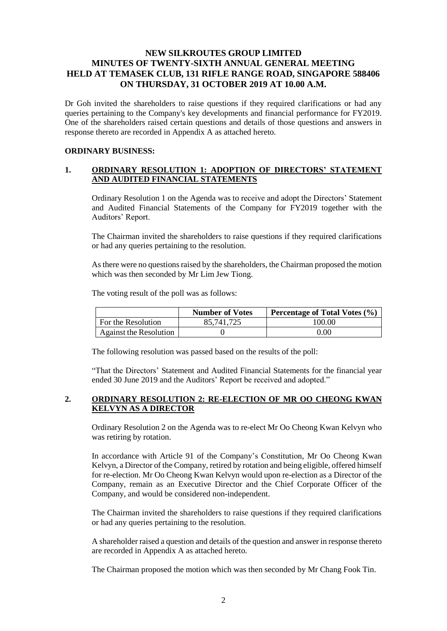Dr Goh invited the shareholders to raise questions if they required clarifications or had any queries pertaining to the Company's key developments and financial performance for FY2019. One of the shareholders raised certain questions and details of those questions and answers in response thereto are recorded in Appendix A as attached hereto.

# **ORDINARY BUSINESS:**

## **1. ORDINARY RESOLUTION 1: ADOPTION OF DIRECTORS' STATEMENT AND AUDITED FINANCIAL STATEMENTS**

Ordinary Resolution 1 on the Agenda was to receive and adopt the Directors' Statement and Audited Financial Statements of the Company for FY2019 together with the Auditors' Report.

The Chairman invited the shareholders to raise questions if they required clarifications or had any queries pertaining to the resolution.

As there were no questions raised by the shareholders, the Chairman proposed the motion which was then seconded by Mr Lim Jew Tiong.

The voting result of the poll was as follows:

|                        | <b>Number of Votes</b> | Percentage of Total Votes $(\% )$ |
|------------------------|------------------------|-----------------------------------|
| For the Resolution     | 85,741,725             | 100.00                            |
| Against the Resolution |                        | $0.00\,$                          |

The following resolution was passed based on the results of the poll:

"That the Directors' Statement and Audited Financial Statements for the financial year ended 30 June 2019 and the Auditors' Report be received and adopted."

## **2. ORDINARY RESOLUTION 2: RE-ELECTION OF MR OO CHEONG KWAN KELVYN AS A DIRECTOR**

Ordinary Resolution 2 on the Agenda was to re-elect Mr Oo Cheong Kwan Kelvyn who was retiring by rotation.

In accordance with Article 91 of the Company's Constitution, Mr Oo Cheong Kwan Kelvyn, a Director of the Company, retired by rotation and being eligible, offered himself for re-election. Mr Oo Cheong Kwan Kelvyn would upon re-election as a Director of the Company, remain as an Executive Director and the Chief Corporate Officer of the Company, and would be considered non-independent.

The Chairman invited the shareholders to raise questions if they required clarifications or had any queries pertaining to the resolution.

A shareholder raised a question and details of the question and answer in response thereto are recorded in Appendix A as attached hereto.

The Chairman proposed the motion which was then seconded by Mr Chang Fook Tin.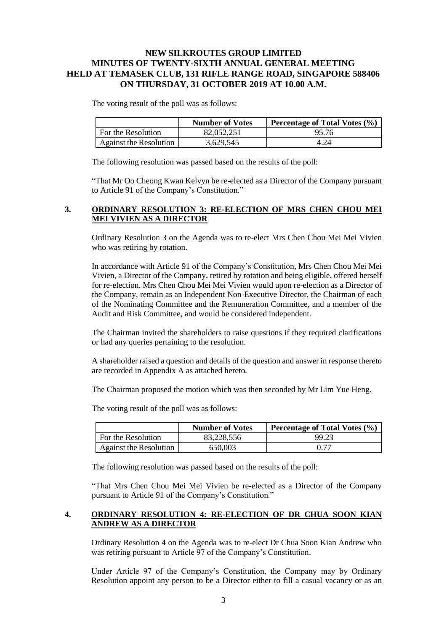The voting result of the poll was as follows:

|                        | <b>Number of Votes</b> | <b>Percentage of Total Votes (%)</b> |
|------------------------|------------------------|--------------------------------------|
| For the Resolution     | 82,052,251             | 95.76                                |
| Against the Resolution | 3.629.545              | 4.24                                 |

The following resolution was passed based on the results of the poll:

"That Mr Oo Cheong Kwan Kelvyn be re-elected as a Director of the Company pursuant to Article 91 of the Company's Constitution."

### **3. ORDINARY RESOLUTION 3: RE-ELECTION OF MRS CHEN CHOU MEI MEI VIVIEN AS A DIRECTOR**

Ordinary Resolution 3 on the Agenda was to re-elect Mrs Chen Chou Mei Mei Vivien who was retiring by rotation.

In accordance with Article 91 of the Company's Constitution, Mrs Chen Chou Mei Mei Vivien, a Director of the Company, retired by rotation and being eligible, offered herself for re-election. Mrs Chen Chou Mei Mei Vivien would upon re-election as a Director of the Company, remain as an Independent Non-Executive Director, the Chairman of each of the Nominating Committee and the Remuneration Committee, and a member of the Audit and Risk Committee, and would be considered independent.

The Chairman invited the shareholders to raise questions if they required clarifications or had any queries pertaining to the resolution.

A shareholder raised a question and details of the question and answer in response thereto are recorded in Appendix A as attached hereto.

The Chairman proposed the motion which was then seconded by Mr Lim Yue Heng.

The voting result of the poll was as follows:

|                               | <b>Number of Votes</b> | Percentage of Total Votes $(\% )$ |
|-------------------------------|------------------------|-----------------------------------|
| For the Resolution            | 83.228.556             | 99.23                             |
| <b>Against the Resolution</b> | 650,003                | 0.77                              |

The following resolution was passed based on the results of the poll:

"That Mrs Chen Chou Mei Mei Vivien be re-elected as a Director of the Company pursuant to Article 91 of the Company's Constitution."

### **4. ORDINARY RESOLUTION 4: RE-ELECTION OF DR CHUA SOON KIAN ANDREW AS A DIRECTOR**

Ordinary Resolution 4 on the Agenda was to re-elect Dr Chua Soon Kian Andrew who was retiring pursuant to Article 97 of the Company's Constitution.

Under Article 97 of the Company's Constitution, the Company may by Ordinary Resolution appoint any person to be a Director either to fill a casual vacancy or as an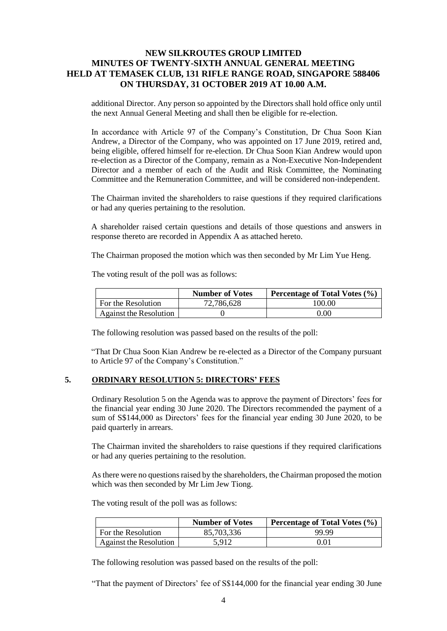additional Director. Any person so appointed by the Directors shall hold office only until the next Annual General Meeting and shall then be eligible for re-election.

In accordance with Article 97 of the Company's Constitution, Dr Chua Soon Kian Andrew, a Director of the Company, who was appointed on 17 June 2019, retired and, being eligible, offered himself for re-election. Dr Chua Soon Kian Andrew would upon re-election as a Director of the Company, remain as a Non-Executive Non-Independent Director and a member of each of the Audit and Risk Committee, the Nominating Committee and the Remuneration Committee, and will be considered non-independent.

The Chairman invited the shareholders to raise questions if they required clarifications or had any queries pertaining to the resolution.

A shareholder raised certain questions and details of those questions and answers in response thereto are recorded in Appendix A as attached hereto.

The Chairman proposed the motion which was then seconded by Mr Lim Yue Heng.

The voting result of the poll was as follows:

|                        | <b>Number of Votes</b> | Percentage of Total Votes (%) |
|------------------------|------------------------|-------------------------------|
| For the Resolution     | 72,786,628             | 100.00                        |
| Against the Resolution |                        | 0.00                          |

The following resolution was passed based on the results of the poll:

"That Dr Chua Soon Kian Andrew be re-elected as a Director of the Company pursuant to Article 97 of the Company's Constitution."

### **5. ORDINARY RESOLUTION 5: DIRECTORS' FEES**

Ordinary Resolution 5 on the Agenda was to approve the payment of Directors' fees for the financial year ending 30 June 2020. The Directors recommended the payment of a sum of S\$144,000 as Directors' fees for the financial year ending 30 June 2020, to be paid quarterly in arrears.

The Chairman invited the shareholders to raise questions if they required clarifications or had any queries pertaining to the resolution.

As there were no questions raised by the shareholders, the Chairman proposed the motion which was then seconded by Mr Lim Jew Tiong.

The voting result of the poll was as follows:

|                           | <b>Number of Votes</b> | <b>Percentage of Total Votes (%)</b> |
|---------------------------|------------------------|--------------------------------------|
| <b>For the Resolution</b> | 85,703,336             | 99.99                                |
| Against the Resolution    | 5.912                  | 0.01                                 |

The following resolution was passed based on the results of the poll:

"That the payment of Directors' fee of S\$144,000 for the financial year ending 30 June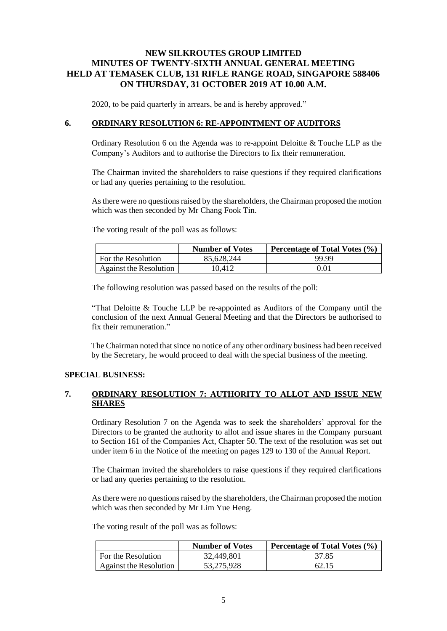2020, to be paid quarterly in arrears, be and is hereby approved."

### **6. ORDINARY RESOLUTION 6: RE-APPOINTMENT OF AUDITORS**

Ordinary Resolution 6 on the Agenda was to re-appoint Deloitte & Touche LLP as the Company's Auditors and to authorise the Directors to fix their remuneration.

The Chairman invited the shareholders to raise questions if they required clarifications or had any queries pertaining to the resolution.

As there were no questions raised by the shareholders, the Chairman proposed the motion which was then seconded by Mr Chang Fook Tin.

The voting result of the poll was as follows:

|                        | <b>Number of Votes</b> | Percentage of Total Votes $(\% )$ |
|------------------------|------------------------|-----------------------------------|
| For the Resolution     | 85.628.244             | 99.99                             |
| Against the Resolution | 10.412                 | 0.01                              |

The following resolution was passed based on the results of the poll:

"That Deloitte & Touche LLP be re-appointed as Auditors of the Company until the conclusion of the next Annual General Meeting and that the Directors be authorised to fix their remuneration."

The Chairman noted that since no notice of any other ordinary business had been received by the Secretary, he would proceed to deal with the special business of the meeting.

### **SPECIAL BUSINESS:**

### **7. ORDINARY RESOLUTION 7: AUTHORITY TO ALLOT AND ISSUE NEW SHARES**

Ordinary Resolution 7 on the Agenda was to seek the shareholders' approval for the Directors to be granted the authority to allot and issue shares in the Company pursuant to Section 161 of the Companies Act, Chapter 50. The text of the resolution was set out under item 6 in the Notice of the meeting on pages 129 to 130 of the Annual Report.

The Chairman invited the shareholders to raise questions if they required clarifications or had any queries pertaining to the resolution.

As there were no questions raised by the shareholders, the Chairman proposed the motion which was then seconded by Mr Lim Yue Heng.

|                               | <b>Number of Votes</b> | <b>Percentage of Total Votes (%)</b> |
|-------------------------------|------------------------|--------------------------------------|
| For the Resolution            | 32,449,801             | 37.85                                |
| <b>Against the Resolution</b> | 53.275.928             | 62.15                                |

The voting result of the poll was as follows: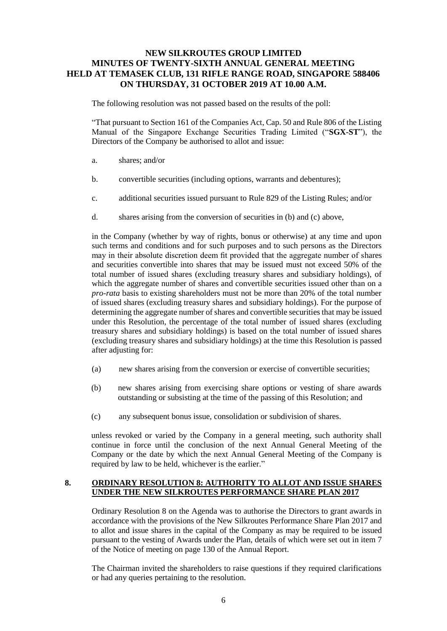The following resolution was not passed based on the results of the poll:

"That pursuant to Section 161 of the Companies Act, Cap. 50 and Rule 806 of the Listing Manual of the Singapore Exchange Securities Trading Limited ("**SGX-ST**"), the Directors of the Company be authorised to allot and issue:

- a. shares; and/or
- b. convertible securities (including options, warrants and debentures);
- c. additional securities issued pursuant to Rule 829 of the Listing Rules; and/or
- d. shares arising from the conversion of securities in (b) and (c) above,

in the Company (whether by way of rights, bonus or otherwise) at any time and upon such terms and conditions and for such purposes and to such persons as the Directors may in their absolute discretion deem fit provided that the aggregate number of shares and securities convertible into shares that may be issued must not exceed 50% of the total number of issued shares (excluding treasury shares and subsidiary holdings), of which the aggregate number of shares and convertible securities issued other than on a *pro-rata* basis to existing shareholders must not be more than 20% of the total number of issued shares (excluding treasury shares and subsidiary holdings). For the purpose of determining the aggregate number of shares and convertible securities that may be issued under this Resolution, the percentage of the total number of issued shares (excluding treasury shares and subsidiary holdings) is based on the total number of issued shares (excluding treasury shares and subsidiary holdings) at the time this Resolution is passed after adjusting for:

- (a) new shares arising from the conversion or exercise of convertible securities;
- (b) new shares arising from exercising share options or vesting of share awards outstanding or subsisting at the time of the passing of this Resolution; and
- (c) any subsequent bonus issue, consolidation or subdivision of shares.

unless revoked or varied by the Company in a general meeting, such authority shall continue in force until the conclusion of the next Annual General Meeting of the Company or the date by which the next Annual General Meeting of the Company is required by law to be held, whichever is the earlier."

#### **8. ORDINARY RESOLUTION 8: AUTHORITY TO ALLOT AND ISSUE SHARES UNDER THE NEW SILKROUTES PERFORMANCE SHARE PLAN 2017**

Ordinary Resolution 8 on the Agenda was to authorise the Directors to grant awards in accordance with the provisions of the New Silkroutes Performance Share Plan 2017 and to allot and issue shares in the capital of the Company as may be required to be issued pursuant to the vesting of Awards under the Plan, details of which were set out in item 7 of the Notice of meeting on page 130 of the Annual Report.

The Chairman invited the shareholders to raise questions if they required clarifications or had any queries pertaining to the resolution.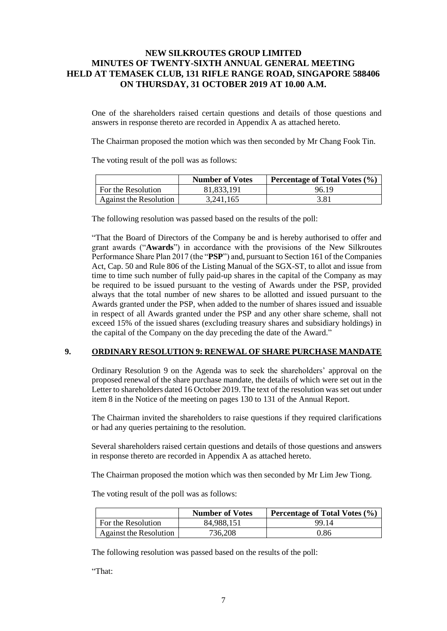One of the shareholders raised certain questions and details of those questions and answers in response thereto are recorded in Appendix A as attached hereto.

The Chairman proposed the motion which was then seconded by Mr Chang Fook Tin.

The voting result of the poll was as follows:

|                        | <b>Number of Votes</b> | Percentage of Total Votes (%) |
|------------------------|------------------------|-------------------------------|
| For the Resolution     | 81.833.191             | 96.19                         |
| Against the Resolution | 3,241,165              | 3.81                          |

The following resolution was passed based on the results of the poll:

"That the Board of Directors of the Company be and is hereby authorised to offer and grant awards ("**Awards**") in accordance with the provisions of the New Silkroutes Performance Share Plan 2017 (the "**PSP**") and, pursuant to Section 161 of the Companies Act, Cap. 50 and Rule 806 of the Listing Manual of the SGX-ST, to allot and issue from time to time such number of fully paid-up shares in the capital of the Company as may be required to be issued pursuant to the vesting of Awards under the PSP, provided always that the total number of new shares to be allotted and issued pursuant to the Awards granted under the PSP, when added to the number of shares issued and issuable in respect of all Awards granted under the PSP and any other share scheme, shall not exceed 15% of the issued shares (excluding treasury shares and subsidiary holdings) in the capital of the Company on the day preceding the date of the Award."

### **9. ORDINARY RESOLUTION 9: RENEWAL OF SHARE PURCHASE MANDATE**

Ordinary Resolution 9 on the Agenda was to seek the shareholders' approval on the proposed renewal of the share purchase mandate, the details of which were set out in the Letter to shareholders dated 16 October 2019. The text of the resolution was set out under item 8 in the Notice of the meeting on pages 130 to 131 of the Annual Report.

The Chairman invited the shareholders to raise questions if they required clarifications or had any queries pertaining to the resolution.

Several shareholders raised certain questions and details of those questions and answers in response thereto are recorded in Appendix A as attached hereto.

The Chairman proposed the motion which was then seconded by Mr Lim Jew Tiong.

The voting result of the poll was as follows:

|                        | <b>Number of Votes</b> | <b>Percentage of Total Votes <math>(\% )</math></b> |
|------------------------|------------------------|-----------------------------------------------------|
| For the Resolution     | 84.988.151             | 99.14                                               |
| Against the Resolution | 736,208                | 0.86                                                |

The following resolution was passed based on the results of the poll:

"That: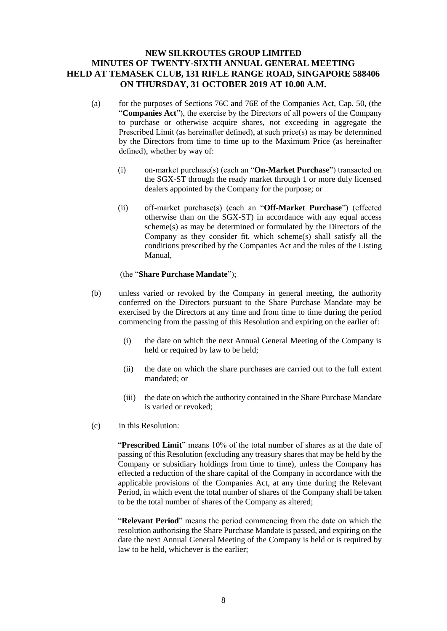- (a) for the purposes of Sections 76C and 76E of the Companies Act, Cap. 50, (the "**Companies Act**"), the exercise by the Directors of all powers of the Company to purchase or otherwise acquire shares, not exceeding in aggregate the Prescribed Limit (as hereinafter defined), at such price(s) as may be determined by the Directors from time to time up to the Maximum Price (as hereinafter defined), whether by way of:
	- (i) on-market purchase(s) (each an "**On-Market Purchase**") transacted on the SGX-ST through the ready market through 1 or more duly licensed dealers appointed by the Company for the purpose; or
	- (ii) off-market purchase(s) (each an "**Off-Market Purchase**") (effected otherwise than on the SGX-ST) in accordance with any equal access scheme(s) as may be determined or formulated by the Directors of the Company as they consider fit, which scheme(s) shall satisfy all the conditions prescribed by the Companies Act and the rules of the Listing Manual,

### (the "**Share Purchase Mandate**");

- (b) unless varied or revoked by the Company in general meeting, the authority conferred on the Directors pursuant to the Share Purchase Mandate may be exercised by the Directors at any time and from time to time during the period commencing from the passing of this Resolution and expiring on the earlier of:
	- (i) the date on which the next Annual General Meeting of the Company is held or required by law to be held;
	- (ii) the date on which the share purchases are carried out to the full extent mandated; or
	- (iii) the date on which the authority contained in the Share Purchase Mandate is varied or revoked;
- (c) in this Resolution:

"**Prescribed Limit**" means 10% of the total number of shares as at the date of passing of this Resolution (excluding any treasury shares that may be held by the Company or subsidiary holdings from time to time), unless the Company has effected a reduction of the share capital of the Company in accordance with the applicable provisions of the Companies Act, at any time during the Relevant Period, in which event the total number of shares of the Company shall be taken to be the total number of shares of the Company as altered;

"**Relevant Period**" means the period commencing from the date on which the resolution authorising the Share Purchase Mandate is passed, and expiring on the date the next Annual General Meeting of the Company is held or is required by law to be held, whichever is the earlier;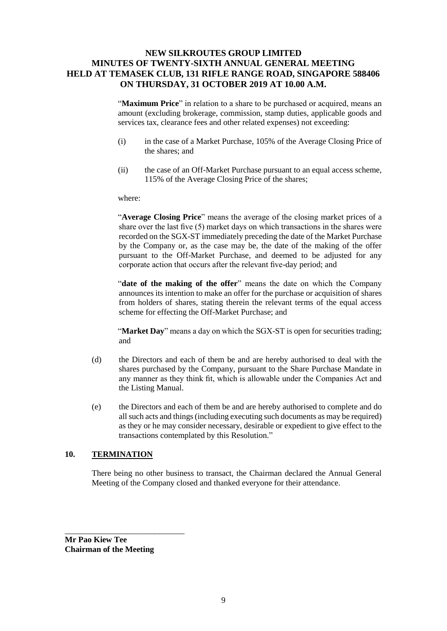"**Maximum Price**" in relation to a share to be purchased or acquired, means an amount (excluding brokerage, commission, stamp duties, applicable goods and services tax, clearance fees and other related expenses) not exceeding:

- (i) in the case of a Market Purchase, 105% of the Average Closing Price of the shares; and
- (ii) the case of an Off-Market Purchase pursuant to an equal access scheme, 115% of the Average Closing Price of the shares;

#### where:

"**Average Closing Price**" means the average of the closing market prices of a share over the last five (5) market days on which transactions in the shares were recorded on the SGX-ST immediately preceding the date of the Market Purchase by the Company or, as the case may be, the date of the making of the offer pursuant to the Off-Market Purchase, and deemed to be adjusted for any corporate action that occurs after the relevant five-day period; and

"**date of the making of the offer**" means the date on which the Company announces its intention to make an offer for the purchase or acquisition of shares from holders of shares, stating therein the relevant terms of the equal access scheme for effecting the Off-Market Purchase; and

"**Market Day**" means a day on which the SGX-ST is open for securities trading; and

- (d) the Directors and each of them be and are hereby authorised to deal with the shares purchased by the Company, pursuant to the Share Purchase Mandate in any manner as they think fit, which is allowable under the Companies Act and the Listing Manual.
- (e) the Directors and each of them be and are hereby authorised to complete and do all such acts and things (including executing such documents as may be required) as they or he may consider necessary, desirable or expedient to give effect to the transactions contemplated by this Resolution."

### **10. TERMINATION**

There being no other business to transact, the Chairman declared the Annual General Meeting of the Company closed and thanked everyone for their attendance.

**Mr Pao Kiew Tee Chairman of the Meeting**

\_\_\_\_\_\_\_\_\_\_\_\_\_\_\_\_\_\_\_\_\_\_\_\_\_\_\_\_\_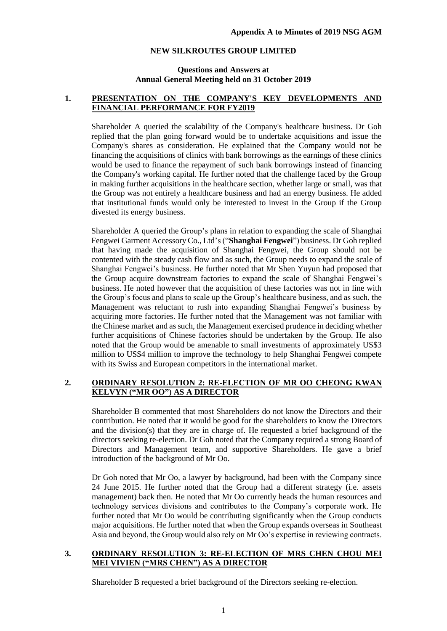### **Questions and Answers at Annual General Meeting held on 31 October 2019**

### **1. PRESENTATION ON THE COMPANY'S KEY DEVELOPMENTS AND FINANCIAL PERFORMANCE FOR FY2019**

Shareholder A queried the scalability of the Company's healthcare business. Dr Goh replied that the plan going forward would be to undertake acquisitions and issue the Company's shares as consideration. He explained that the Company would not be financing the acquisitions of clinics with bank borrowings as the earnings of these clinics would be used to finance the repayment of such bank borrowings instead of financing the Company's working capital. He further noted that the challenge faced by the Group in making further acquisitions in the healthcare section, whether large or small, was that the Group was not entirely a healthcare business and had an energy business. He added that institutional funds would only be interested to invest in the Group if the Group divested its energy business.

Shareholder A queried the Group's plans in relation to expanding the scale of Shanghai Fengwei Garment Accessory Co., Ltd's ("**Shanghai Fengwei**") business. Dr Goh replied that having made the acquisition of Shanghai Fengwei, the Group should not be contented with the steady cash flow and as such, the Group needs to expand the scale of Shanghai Fengwei's business. He further noted that Mr Shen Yuyun had proposed that the Group acquire downstream factories to expand the scale of Shanghai Fengwei's business. He noted however that the acquisition of these factories was not in line with the Group's focus and plans to scale up the Group's healthcare business, and as such, the Management was reluctant to rush into expanding Shanghai Fengwei's business by acquiring more factories. He further noted that the Management was not familiar with the Chinese market and as such, the Management exercised prudence in deciding whether further acquisitions of Chinese factories should be undertaken by the Group. He also noted that the Group would be amenable to small investments of approximately US\$3 million to US\$4 million to improve the technology to help Shanghai Fengwei compete with its Swiss and European competitors in the international market.

### **2. ORDINARY RESOLUTION 2: RE-ELECTION OF MR OO CHEONG KWAN KELVYN ("MR OO") AS A DIRECTOR**

Shareholder B commented that most Shareholders do not know the Directors and their contribution. He noted that it would be good for the shareholders to know the Directors and the division(s) that they are in charge of. He requested a brief background of the directors seeking re-election. Dr Goh noted that the Company required a strong Board of Directors and Management team, and supportive Shareholders. He gave a brief introduction of the background of Mr Oo.

Dr Goh noted that Mr Oo, a lawyer by background, had been with the Company since 24 June 2015. He further noted that the Group had a different strategy (i.e. assets management) back then. He noted that Mr Oo currently heads the human resources and technology services divisions and contributes to the Company's corporate work. He further noted that Mr Oo would be contributing significantly when the Group conducts major acquisitions. He further noted that when the Group expands overseas in Southeast Asia and beyond, the Group would also rely on Mr Oo's expertise in reviewing contracts.

### **3. ORDINARY RESOLUTION 3: RE-ELECTION OF MRS CHEN CHOU MEI MEI VIVIEN ("MRS CHEN") AS A DIRECTOR**

Shareholder B requested a brief background of the Directors seeking re-election.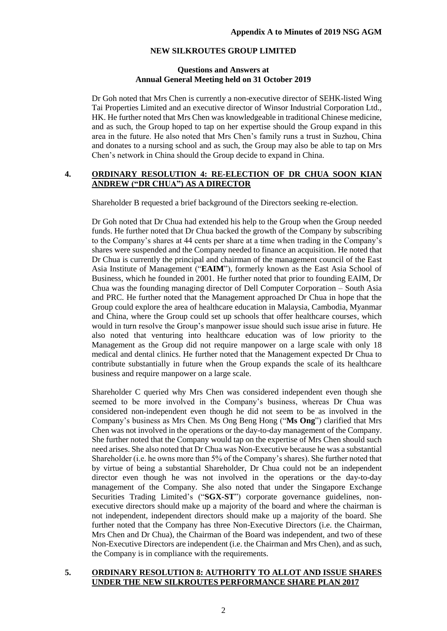### **Questions and Answers at Annual General Meeting held on 31 October 2019**

Dr Goh noted that Mrs Chen is currently a non-executive director of SEHK-listed Wing Tai Properties Limited and an executive director of Winsor Industrial Corporation Ltd., HK. He further noted that Mrs Chen was knowledgeable in traditional Chinese medicine, and as such, the Group hoped to tap on her expertise should the Group expand in this area in the future. He also noted that Mrs Chen's family runs a trust in Suzhou, China and donates to a nursing school and as such, the Group may also be able to tap on Mrs Chen's network in China should the Group decide to expand in China.

### **4. ORDINARY RESOLUTION 4: RE-ELECTION OF DR CHUA SOON KIAN ANDREW ("DR CHUA") AS A DIRECTOR**

Shareholder B requested a brief background of the Directors seeking re-election.

Dr Goh noted that Dr Chua had extended his help to the Group when the Group needed funds. He further noted that Dr Chua backed the growth of the Company by subscribing to the Company's shares at 44 cents per share at a time when trading in the Company's shares were suspended and the Company needed to finance an acquisition. He noted that Dr Chua is currently the principal and chairman of the management council of the East Asia Institute of Management ("**EAIM**"), formerly known as the East Asia School of Business, which he founded in 2001. He further noted that prior to founding EAIM, Dr Chua was the founding managing director of Dell Computer Corporation – South Asia and PRC. He further noted that the Management approached Dr Chua in hope that the Group could explore the area of healthcare education in Malaysia, Cambodia, Myanmar and China, where the Group could set up schools that offer healthcare courses, which would in turn resolve the Group's manpower issue should such issue arise in future. He also noted that venturing into healthcare education was of low priority to the Management as the Group did not require manpower on a large scale with only 18 medical and dental clinics. He further noted that the Management expected Dr Chua to contribute substantially in future when the Group expands the scale of its healthcare business and require manpower on a large scale.

Shareholder C queried why Mrs Chen was considered independent even though she seemed to be more involved in the Company's business, whereas Dr Chua was considered non-independent even though he did not seem to be as involved in the Company's business as Mrs Chen. Ms Ong Beng Hong ("**Ms Ong**") clarified that Mrs Chen was not involved in the operations or the day-to-day management of the Company. She further noted that the Company would tap on the expertise of Mrs Chen should such need arises. She also noted that Dr Chua was Non-Executive because he was a substantial Shareholder (i.e. he owns more than 5% of the Company's shares). She further noted that by virtue of being a substantial Shareholder, Dr Chua could not be an independent director even though he was not involved in the operations or the day-to-day management of the Company. She also noted that under the Singapore Exchange Securities Trading Limited's ("**SGX-ST**") corporate governance guidelines, nonexecutive directors should make up a majority of the board and where the chairman is not independent, independent directors should make up a majority of the board. She further noted that the Company has three Non-Executive Directors (i.e. the Chairman, Mrs Chen and Dr Chua), the Chairman of the Board was independent, and two of these Non-Executive Directors are independent (i.e. the Chairman and Mrs Chen), and as such, the Company is in compliance with the requirements.

### **5. ORDINARY RESOLUTION 8: AUTHORITY TO ALLOT AND ISSUE SHARES UNDER THE NEW SILKROUTES PERFORMANCE SHARE PLAN 2017**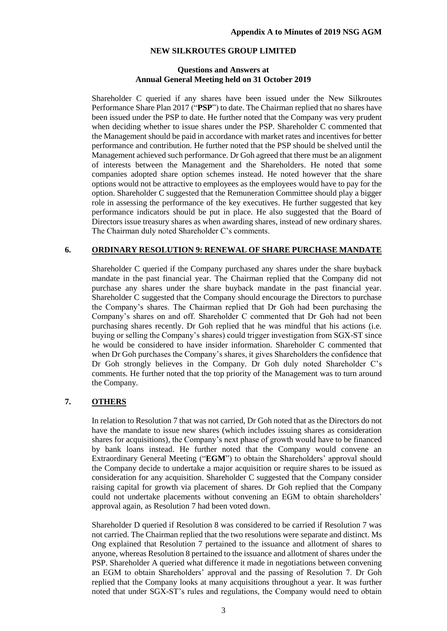#### **Questions and Answers at Annual General Meeting held on 31 October 2019**

Shareholder C queried if any shares have been issued under the New Silkroutes Performance Share Plan 2017 ("**PSP**") to date. The Chairman replied that no shares have been issued under the PSP to date. He further noted that the Company was very prudent when deciding whether to issue shares under the PSP. Shareholder C commented that the Management should be paid in accordance with market rates and incentives for better performance and contribution. He further noted that the PSP should be shelved until the Management achieved such performance. Dr Goh agreed that there must be an alignment of interests between the Management and the Shareholders. He noted that some companies adopted share option schemes instead. He noted however that the share options would not be attractive to employees as the employees would have to pay for the option. Shareholder C suggested that the Remuneration Committee should play a bigger role in assessing the performance of the key executives. He further suggested that key performance indicators should be put in place. He also suggested that the Board of Directors issue treasury shares as when awarding shares, instead of new ordinary shares. The Chairman duly noted Shareholder C's comments.

### **6. ORDINARY RESOLUTION 9: RENEWAL OF SHARE PURCHASE MANDATE**

Shareholder C queried if the Company purchased any shares under the share buyback mandate in the past financial year. The Chairman replied that the Company did not purchase any shares under the share buyback mandate in the past financial year. Shareholder C suggested that the Company should encourage the Directors to purchase the Company's shares. The Chairman replied that Dr Goh had been purchasing the Company's shares on and off. Shareholder C commented that Dr Goh had not been purchasing shares recently. Dr Goh replied that he was mindful that his actions (i.e. buying or selling the Company's shares) could trigger investigation from SGX-ST since he would be considered to have insider information. Shareholder C commented that when Dr Goh purchases the Company's shares, it gives Shareholders the confidence that Dr Goh strongly believes in the Company. Dr Goh duly noted Shareholder C's comments. He further noted that the top priority of the Management was to turn around the Company.

### **7. OTHERS**

In relation to Resolution 7 that was not carried, Dr Goh noted that as the Directors do not have the mandate to issue new shares (which includes issuing shares as consideration shares for acquisitions), the Company's next phase of growth would have to be financed by bank loans instead. He further noted that the Company would convene an Extraordinary General Meeting ("**EGM**") to obtain the Shareholders' approval should the Company decide to undertake a major acquisition or require shares to be issued as consideration for any acquisition. Shareholder C suggested that the Company consider raising capital for growth via placement of shares. Dr Goh replied that the Company could not undertake placements without convening an EGM to obtain shareholders' approval again, as Resolution 7 had been voted down.

Shareholder D queried if Resolution 8 was considered to be carried if Resolution 7 was not carried. The Chairman replied that the two resolutions were separate and distinct. Ms Ong explained that Resolution 7 pertained to the issuance and allotment of shares to anyone, whereas Resolution 8 pertained to the issuance and allotment of shares under the PSP. Shareholder A queried what difference it made in negotiations between convening an EGM to obtain Shareholders' approval and the passing of Resolution 7. Dr Goh replied that the Company looks at many acquisitions throughout a year. It was further noted that under SGX-ST's rules and regulations, the Company would need to obtain